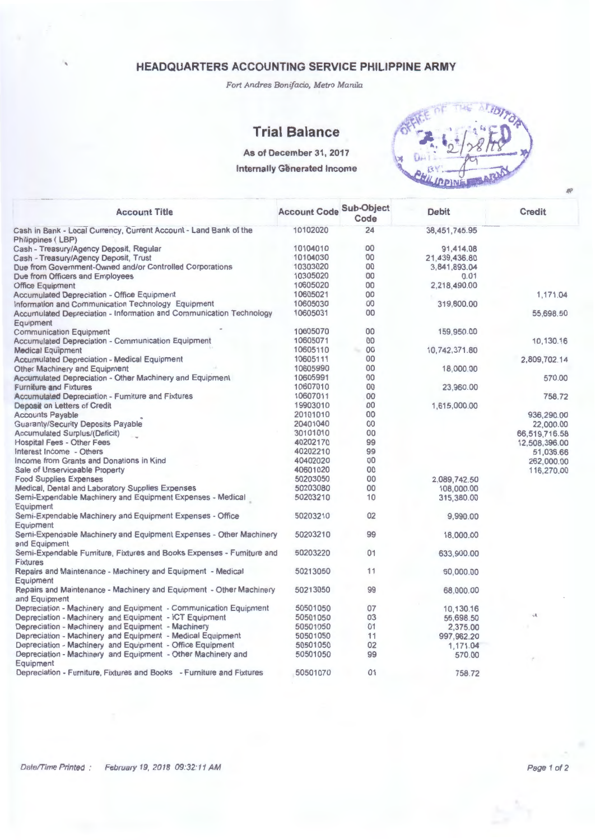Fort Andres Bonifacio, Metro Manila

### **Trial Balance**

**As of December 31, 2017** 

#### **Internally Generated Income**



| <b>Account Title</b>                                                  | <b>Account Code Sub-Object</b> | Code | <b>Debit</b>  | Credit        |
|-----------------------------------------------------------------------|--------------------------------|------|---------------|---------------|
| Cash in Bank - Local Currency, Current Account - Land Bank of the     | 10102020                       | 24   | 38,451,745.95 |               |
| Philippines (LBP)                                                     |                                |      |               |               |
| Cash - Treasury/Agency Deposit, Regular                               | 10104010                       | 00   | 91,414.08     |               |
| Cash - Treasury/Agency Deposit, Trust                                 | 10104030                       | 00   | 21,439,436.80 |               |
| Due from Government-Owned and/or Controlled Corporations              | 10303020                       | 00   | 3,841,893.04  |               |
| Due from Officers and Employees                                       | 10305020                       | 00   | 0.01          |               |
| <b>Office Equipment</b>                                               | 10605020                       | 00   | 2,218,490.00  |               |
| <b>Accumulated Depreciation - Office Equipment</b>                    | 10605021                       | 00   |               | 1,171.04      |
| Information and Communication Technology Equipment                    | 10605030                       | 00   | 319,800.00    |               |
|                                                                       | 10605031                       | 00   |               |               |
| Accumulated Depreciation - Information and Communication Technology   |                                |      |               | 55,698.50     |
| Equipment                                                             |                                |      |               |               |
| <b>Communication Equipment</b>                                        | 10605070                       | 00   | 159,950.00    |               |
| <b>Accumulated Depreciation - Communication Equipment</b>             | 10605071                       | 00   |               | 10,130.16     |
| <b>Medical Equipment</b>                                              | 10605110                       | 00   | 10,742,371.80 |               |
| <b>Accumulated Depreciation - Medical Equipment</b>                   | 10605111                       | 00   |               | 2,809,702.14  |
| Other Machinery and Equipment                                         | 10605990                       | 00   | 18,000.00     |               |
| Accumulated Depreciation - Other Machinery and Equipment              | 10605991                       | 00   |               | 570.00        |
| <b>Furniture and Fixtures</b>                                         | 10607010                       | 00   | 23,960.00     |               |
| Accumulated Depreciation - Fumiture and Fixtures                      | 10607011                       | 00   |               | 758.72        |
| Deposit on Letters of Credit                                          | 19903010                       | 00   | 1,615,000.00  |               |
|                                                                       | 20101010                       | 00   |               | 936,290.00    |
| <b>Accounts Payable</b>                                               |                                | 00   |               |               |
| <b>Guaranty/Security Deposits Payable</b>                             | 20401040                       |      |               | 22,000.00     |
| Accumulated Surplus/(Deficit)                                         | 30101010                       | 00   |               | 66,519,716.58 |
| <b>Hospital Fees - Other Fees</b>                                     | 40202170                       | 99   |               | 12,508,396.00 |
| Interest Income - Others                                              | 40202210                       | 99   |               | 51,036.66     |
| Income from Grants and Donations in Kind                              | 40402020                       | 00   |               | 262.000.00    |
| Sale of Unserviceable Property                                        | 40601020                       | 00   |               | 116,270.00    |
| <b>Food Supplies Expenses</b>                                         | 50203050                       | 00   | 2,089,742.50  |               |
| Medical, Dental and Laboratory Supplies Expenses                      | 50203080                       | 00   | 108,000.00    |               |
| Semi-Expendable Machinery and Equipment Expenses - Medical            | 50203210                       | 10   | 315,380.00    |               |
| Equipment                                                             |                                |      |               |               |
| Semi-Expendable Machinery and Equipment Expenses - Office             | 50203210                       | 02   | 9,990.00      |               |
| Equipment                                                             |                                |      |               |               |
|                                                                       | 50203210                       | 99   |               |               |
| Semi-Expendable Machinery and Equipment Expenses - Other Machinery    |                                |      | 18,000.00     |               |
| and Equipment                                                         |                                |      |               |               |
| Semi-Expendable Fumiture, Fixtures and Books Expenses - Fumiture and  | 50203220                       | 01   | 633,900.00    |               |
| <b>Fixtures</b>                                                       |                                |      |               |               |
| Repairs and Maintenance - Machinery and Equipment - Medical           | 50213050                       | 11   | 60,000.00     |               |
| Equipment                                                             |                                |      |               |               |
| Repairs and Maintenance - Machinery and Equipment - Other Machinery   | 50213050                       | 99   | 68,000.00     |               |
| and Equipment                                                         |                                |      |               |               |
| Depreciation - Machinery and Equipment - Communication Equipment      | 50501050                       | 07   | 10,130.16     |               |
| Depreciation - Machinery and Equipment - ICT Equipment                | 50501050                       | 03   | 55,698.50     | 病             |
| Depreciation - Machinery and Equipment - Machinery                    | 50501050                       | 01   | 2,375.00      |               |
| Depreciation - Machinery and Equipment - Medical Equipment            | 50501050                       | 11   | 997,962.20    |               |
| Depreciation - Machinery and Equipment - Office Equipment             | 50501050                       | 02   | 1,171.04      |               |
|                                                                       |                                | 99   |               |               |
| Depreciation - Machinery and Equipment - Other Machinery and          | 50501050                       |      | 570.00        |               |
| Equipment                                                             |                                |      |               |               |
| Depreciation - Furniture, Fixtures and Books - Furniture and Fixtures | 50501070                       | 01   | 758.72        |               |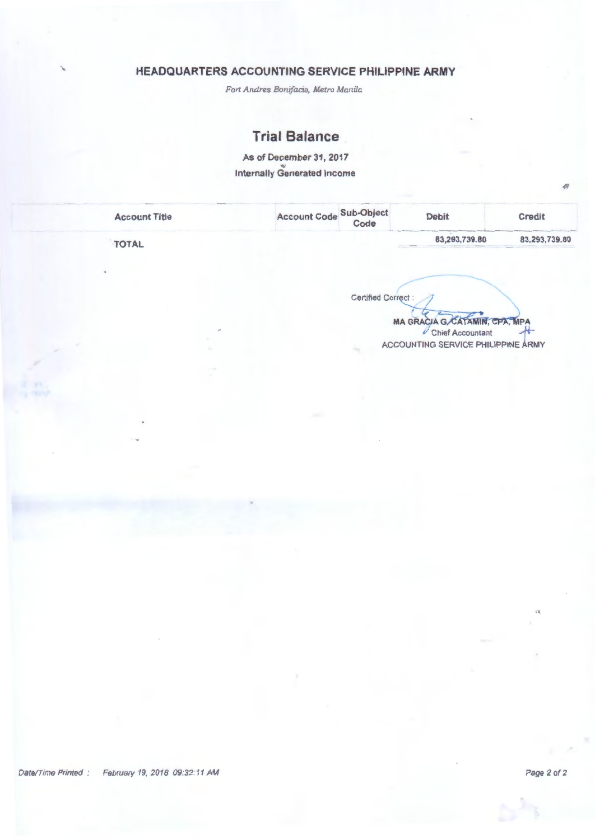*Fort Andres Bonif aci.o, Metro Manila* 

### **Trial Balance**

As of December 31, 2017 Internally Generated Income

| <b>Account Title</b> | Account Code Sub-Object<br>Code |                           | <b>Debit</b>                  | <b>Credit</b> |
|----------------------|---------------------------------|---------------------------|-------------------------------|---------------|
| <b>TOTAL</b>         |                                 |                           | 83,293,739.80                 | 83,293,739.80 |
|                      |                                 |                           |                               |               |
|                      |                                 |                           |                               |               |
|                      |                                 |                           |                               |               |
|                      |                                 |                           |                               |               |
|                      |                                 | <b>Certified Correct:</b> | MA GRACIA GACATAMIN, CPA, MPA |               |

**ACCOUNTING SERVICE PHILIPPINE ARMY**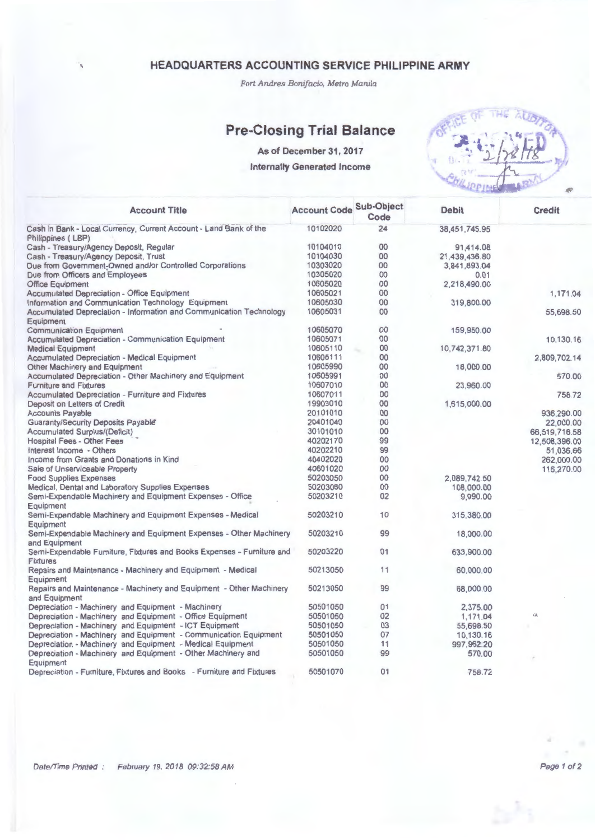*Fort Andres Bonifacio, Metro Manila* 

# **Pre-Closing Trial Balance**

As of December 31, 2017

Internally Generated Income



| <b>Account Title</b>                                                                      | <b>Account Code Sub-Object</b> | Code           | <b>Debit</b>  | <b>Credit</b> |
|-------------------------------------------------------------------------------------------|--------------------------------|----------------|---------------|---------------|
| Cash in Bank - Local Currency, Current Account - Land Bank of the<br>Philippines (LBP)    | 10102020                       | 24             | 38,451,745.95 |               |
| Cash - Treasury/Agency Deposit, Regular                                                   | 10104010                       | 00             | 91,414.08     |               |
| Cash - Treasury/Agency Deposit, Trust                                                     | 10104030                       | 00             | 21,439,436.80 |               |
| Due from Government-Owned and/or Controlled Corporations                                  | 10303020                       | 00             | 3,841,893.04  |               |
| Due from Officers and Employees                                                           | 10305020                       | 00             | 0.01          |               |
| <b>Office Equipment</b>                                                                   | 10605020                       | 00             | 2,218,490.00  |               |
| <b>Accumulated Depreciation - Office Equipment</b>                                        | 10605021                       | 00             |               | 1,171.04      |
| Information and Communication Technology Equipment                                        | 10605030                       | 00             | 319,800.00    |               |
| Accumulated Depreciation - Information and Communication Technology                       | 10605031                       | 00             |               |               |
| Equipment                                                                                 |                                |                |               | 55,698.50     |
| <b>Communication Equipment</b>                                                            | 10605070                       | O <sub>O</sub> | 159,950.00    |               |
| <b>Accumulated Depreciation - Communication Equipment</b>                                 | 10605071                       | 00             |               | 10,130.16     |
| <b>Medical Equipment</b>                                                                  | 10605110                       | 00             | 10,742,371.80 |               |
| <b>Accumulated Depreciation - Medical Equipment</b>                                       | 10605111                       | 00             |               | 2,809,702.14  |
| Other Machinery and Equipment                                                             | 10605990                       | 00             | 18,000.00     |               |
| Accumulated Depreciation - Other Machinery and Equipment                                  | 10605991                       | 00             |               | 570.00        |
| <b>Furniture and Fixtures</b>                                                             | 10607010                       | 00             | 23,960.00     |               |
| <b>Accumulated Depreciation - Furniture and Fixtures</b>                                  | 10607011                       | 00             |               | 758.72        |
| Deposit on Letters of Credit                                                              | 19903010                       | 00             | 1,615,000.00  |               |
| <b>Accounts Payable</b>                                                                   | 20101010                       | 00             |               | 936,290.00    |
| Guaranty/Security Deposits Payable                                                        | 20401040                       | 00             |               |               |
|                                                                                           | 30101010                       | 00             |               | 22,000.00     |
| <b>Accumulated Surplus/(Deficit)</b>                                                      |                                | 99             |               | 66,519,716.58 |
| <b>Hospital Fees - Other Fees</b>                                                         | 40202170                       |                |               | 12,508,396.00 |
| Interest Income - Others                                                                  | 40202210                       | 99             |               | 51,036.66     |
| Income from Grants and Donations in Kind                                                  | 40402020                       | 00             |               | 262,000.00    |
| Sale of Unserviceable Property                                                            | 40601020                       | 00             |               | 116,270.00    |
| <b>Food Supplies Expenses</b>                                                             | 50203050                       | 00             | 2.089.742.50  |               |
| Medical, Dental and Laboratory Supplies Expenses                                          | 50203080                       | 00             | 108,000.00    |               |
| Semi-Expendable Machinery and Equipment Expenses - Office                                 | 50203210                       | 02             | 9,990.00      |               |
| Equipment                                                                                 |                                |                |               |               |
| Semi-Expendable Machinery and Equipment Expenses - Medical                                | 50203210                       | 10             | 315,380.00    |               |
| Equipment                                                                                 |                                |                |               |               |
| Semi-Expendable Machinery and Equipment Expenses - Other Machinery                        | 50203210                       | 99             | 18,000.00     |               |
| and Equipment                                                                             |                                |                |               |               |
| Semi-Expendable Furniture, Fixtures and Books Expenses - Furniture and<br><b>Fixtures</b> | 50203220                       | 01             | 633,900.00    |               |
|                                                                                           |                                |                |               |               |
| Repairs and Maintenance - Machinery and Equipment - Medical                               | 50213050                       | 11             | 60,000.00     |               |
| Equipment                                                                                 |                                | 99             |               |               |
| Repairs and Maintenance - Machinery and Equipment - Other Machinery<br>and Equipment      | 50213050                       |                | 68,000.00     |               |
| Depreciation - Machinery and Equipment - Machinery                                        | 50501050                       | 01             | 2,375.00      |               |
| Depreciation - Machinery and Equipment - Office Equipment                                 | 50501050                       | 02             | 1,171.04      | 病             |
| Depreciation - Machinery and Equipment - ICT Equipment                                    | 50501050                       | 03             | 55,698.50     |               |
| Depreciation - Machinery and Equipment - Communication Equipment                          | 50501050                       | 07             | 10,130.16     |               |
| Depreciation - Machinery and Equipment - Medical Equipment                                | 50501050                       | 11             | 997,962.20    |               |
| Depreciation - Machinery and Equipment - Other Machinery and                              | 50501050                       | 99             | 570.00        |               |
| Equipment                                                                                 |                                |                |               |               |
| Depreciation - Furniture, Fixtures and Books - Furniture and Fixtures                     | 50501070                       | 01             | 758.72        |               |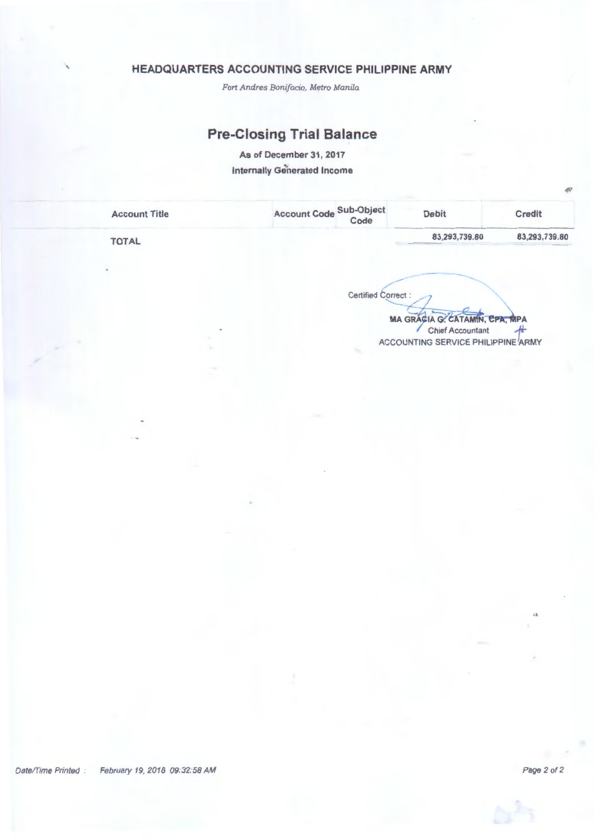*Fort Andres Bonifacio, Metro Manila* 

# **Pre-Closing Trial Balance**

As of December 31, 2017 Internally Generated Income

| <b>Account Title</b> | Account Code Sub-Object<br>Code | <b>Debit</b>  | <b>Credit</b> |
|----------------------|---------------------------------|---------------|---------------|
| <b>TOTAL</b>         |                                 | 83,293,739.80 | 83,293,739.80 |

 $\overline{\mathsf{Correct}}$  : Certified Correct :

 $MA$  GRACIA G. CATAMIN, EPA, MPA ACCOUNTING SERVICE PHILIPPINE ARMY

--- ---...........

Page 2 of 2